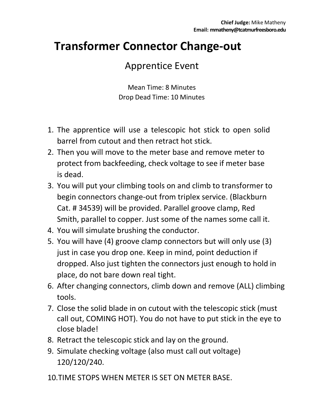#### **Transformer Connector Change-out**

#### Apprentice Event

Mean Time: 8 Minutes Drop Dead Time: 10 Minutes

- 1. The apprentice will use a telescopic hot stick to open solid barrel from cutout and then retract hot stick.
- 2. Then you will move to the meter base and remove meter to protect from backfeeding, check voltage to see if meter base is dead.
- 3. You will put your climbing tools on and climb to transformer to begin connectors change-out from triplex service. (Blackburn Cat. # 34539) will be provided. Parallel groove clamp, Red Smith, parallel to copper. Just some of the names some call it.
- 4. You will simulate brushing the conductor.
- 5. You will have (4) groove clamp connectors but will only use (3) just in case you drop one. Keep in mind, point deduction if dropped. Also just tighten the connectors just enough to hold in place, do not bare down real tight.
- 6. After changing connectors, climb down and remove (ALL) climbing tools.
- 7. Close the solid blade in on cutout with the telescopic stick (must call out, COMING HOT). You do not have to put stick in the eye to close blade!
- 8. Retract the telescopic stick and lay on the ground.
- 9. Simulate checking voltage (also must call out voltage) 120/120/240.
- 10.TIME STOPS WHEN METER IS SET ON METER BASE.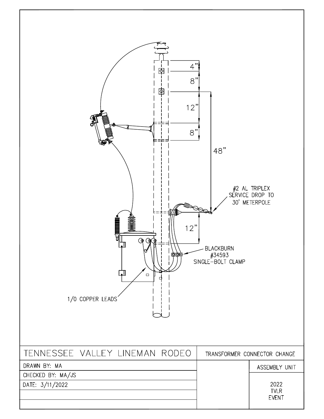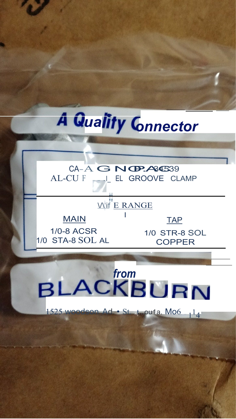

## CA-A G NGP.A84539 AL-CU F \_\_\_ L EL GROOVE CLAMP



## 1/0 STA-8 SOL AL

## **COPPER**

# BLACKBURN

Geon Ad · St. t. ou1a. Mo6 14 1525